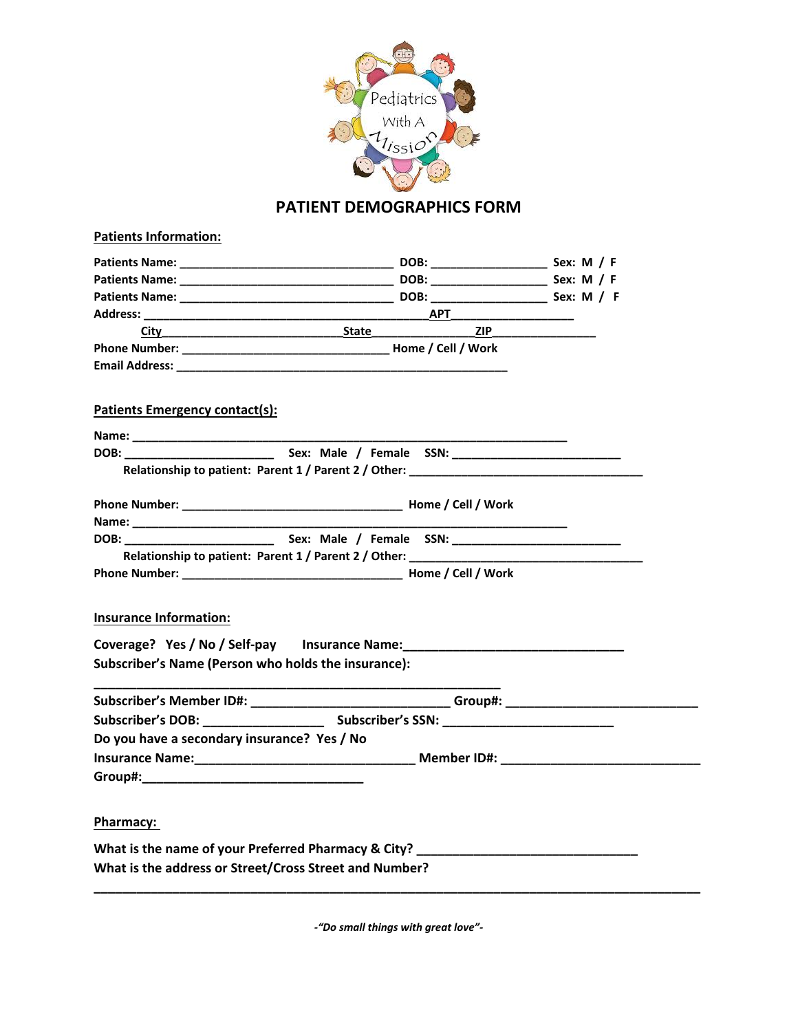

# **PATIENT DEMOGRAPHICS FORM**

| <b>Patients Information:</b>                                                                                                                                                                                                   |                                                                                                               |     |  |
|--------------------------------------------------------------------------------------------------------------------------------------------------------------------------------------------------------------------------------|---------------------------------------------------------------------------------------------------------------|-----|--|
|                                                                                                                                                                                                                                |                                                                                                               |     |  |
|                                                                                                                                                                                                                                |                                                                                                               |     |  |
|                                                                                                                                                                                                                                |                                                                                                               |     |  |
|                                                                                                                                                                                                                                |                                                                                                               |     |  |
|                                                                                                                                                                                                                                |                                                                                                               | ZIP |  |
|                                                                                                                                                                                                                                |                                                                                                               |     |  |
|                                                                                                                                                                                                                                |                                                                                                               |     |  |
|                                                                                                                                                                                                                                |                                                                                                               |     |  |
| Patients Emergency contact(s):                                                                                                                                                                                                 |                                                                                                               |     |  |
|                                                                                                                                                                                                                                |                                                                                                               |     |  |
|                                                                                                                                                                                                                                |                                                                                                               |     |  |
|                                                                                                                                                                                                                                | Relationship to patient: Parent 1 / Parent 2 / Other: Later and Allen and Allen and Allen and Allen and Allen |     |  |
|                                                                                                                                                                                                                                |                                                                                                               |     |  |
|                                                                                                                                                                                                                                |                                                                                                               |     |  |
| DOB: Sex: Male / Female SSN:                                                                                                                                                                                                   |                                                                                                               |     |  |
|                                                                                                                                                                                                                                | Relationship to patient: Parent 1 / Parent 2 / Other: ____________                                            |     |  |
|                                                                                                                                                                                                                                |                                                                                                               |     |  |
|                                                                                                                                                                                                                                |                                                                                                               |     |  |
| <b>Insurance Information:</b>                                                                                                                                                                                                  |                                                                                                               |     |  |
| Coverage? Yes / No / Self-pay Insurance Name: __________________________________                                                                                                                                               |                                                                                                               |     |  |
| Subscriber's Name (Person who holds the insurance):                                                                                                                                                                            |                                                                                                               |     |  |
|                                                                                                                                                                                                                                |                                                                                                               |     |  |
| Subscriber's Member ID#: _______________________________Group#: ___________________________________                                                                                                                            |                                                                                                               |     |  |
|                                                                                                                                                                                                                                |                                                                                                               |     |  |
| Do you have a secondary insurance? Yes / No                                                                                                                                                                                    |                                                                                                               |     |  |
|                                                                                                                                                                                                                                |                                                                                                               |     |  |
| Group#: the contract of the contract of the contract of the contract of the contract of the contract of the contract of the contract of the contract of the contract of the contract of the contract of the contract of the co |                                                                                                               |     |  |
|                                                                                                                                                                                                                                |                                                                                                               |     |  |
| Pharmacy:                                                                                                                                                                                                                      |                                                                                                               |     |  |
| What is the name of your Preferred Pharmacy & City? ____________________________                                                                                                                                               |                                                                                                               |     |  |
| What is the address or Street/Cross Street and Number?                                                                                                                                                                         |                                                                                                               |     |  |
|                                                                                                                                                                                                                                |                                                                                                               |     |  |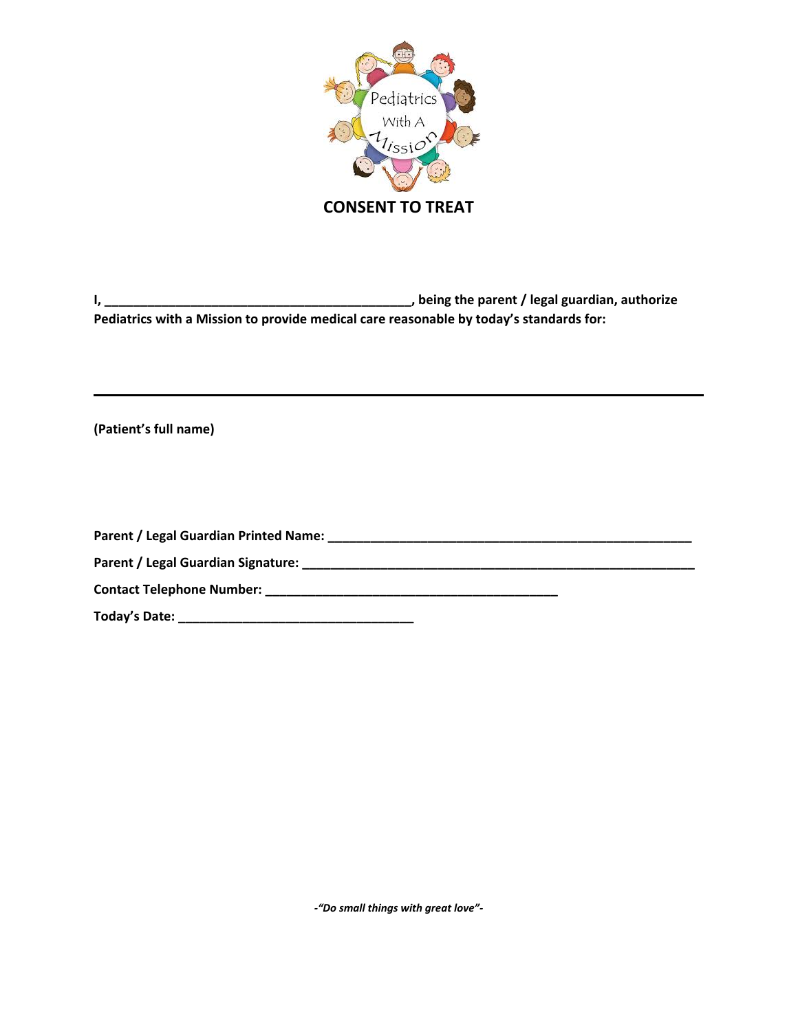

**I, \_\_\_\_\_\_\_\_\_\_\_\_\_\_\_\_\_\_\_\_\_\_\_\_\_\_\_\_\_\_\_\_\_\_\_\_\_\_\_\_\_\_\_, being the parent / legal guardian, authorize Pediatrics with a Mission to provide medical care reasonable by today's standards for:**

**(Patient's full name)**

**Parent / Legal Guardian Printed Name: \_\_\_\_\_\_\_\_\_\_\_\_\_\_\_\_\_\_\_\_\_\_\_\_\_\_\_\_\_\_\_\_\_\_\_\_\_\_\_\_\_\_\_\_\_\_\_\_\_\_\_ Parent / Legal Guardian Signature: \_\_\_\_\_\_\_\_\_\_\_\_\_\_\_\_\_\_\_\_\_\_\_\_\_\_\_\_\_\_\_\_\_\_\_\_\_\_\_\_\_\_\_\_\_\_\_\_\_\_\_\_\_\_\_ Contact Telephone Number: \_\_\_\_\_\_\_\_\_\_\_\_\_\_\_\_\_\_\_\_\_\_\_\_\_\_\_\_\_\_\_\_\_\_\_\_\_\_\_\_\_ Today's Date: \_\_\_\_\_\_\_\_\_\_\_\_\_\_\_\_\_\_\_\_\_\_\_\_\_\_\_\_\_\_\_\_\_**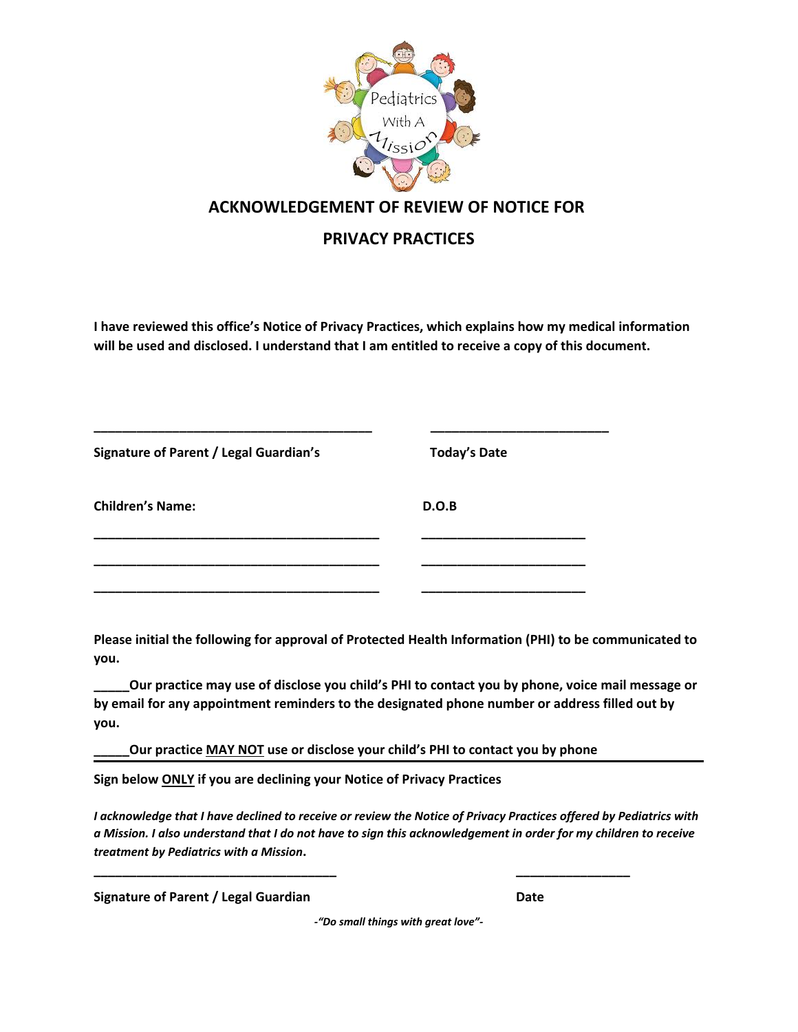

### **ACKNOWLEDGEMENT OF REVIEW OF NOTICE FOR**

## **PRIVACY PRACTICES**

**I have reviewed this office's Notice of Privacy Practices, which explains how my medical information will be used and disclosed. I understand that I am entitled to receive a copy of this document.**

| <b>Signature of Parent / Legal Guardian's</b> | <b>Today's Date</b> |  |  |
|-----------------------------------------------|---------------------|--|--|
| <b>Children's Name:</b>                       | D.O.B               |  |  |
|                                               |                     |  |  |

**Please initial the following for approval of Protected Health Information (PHI) to be communicated to you.**

**\_\_\_\_\_Our practice may use of disclose you child's PHI to contact you by phone, voice mail message or by email for any appointment reminders to the designated phone number or address filled out by you.**

**Our practice MAY NOT use or disclose your child's PHI to contact you by phone** 

**Sign below ONLY if you are declining your Notice of Privacy Practices**

*I acknowledge that I have declined to receive or review the Notice of Privacy Practices offered by Pediatrics with a Mission. I also understand that I do not have to sign this acknowledgement in order for my children to receive treatment by Pediatrics with a Mission***. \_\_\_\_\_\_\_\_\_\_\_\_\_\_\_\_\_\_\_\_\_\_\_\_\_\_\_\_\_\_\_\_\_\_ \_\_\_\_\_\_\_\_\_\_\_\_\_\_\_\_**

**Signature of Parent / Legal Guardian Date**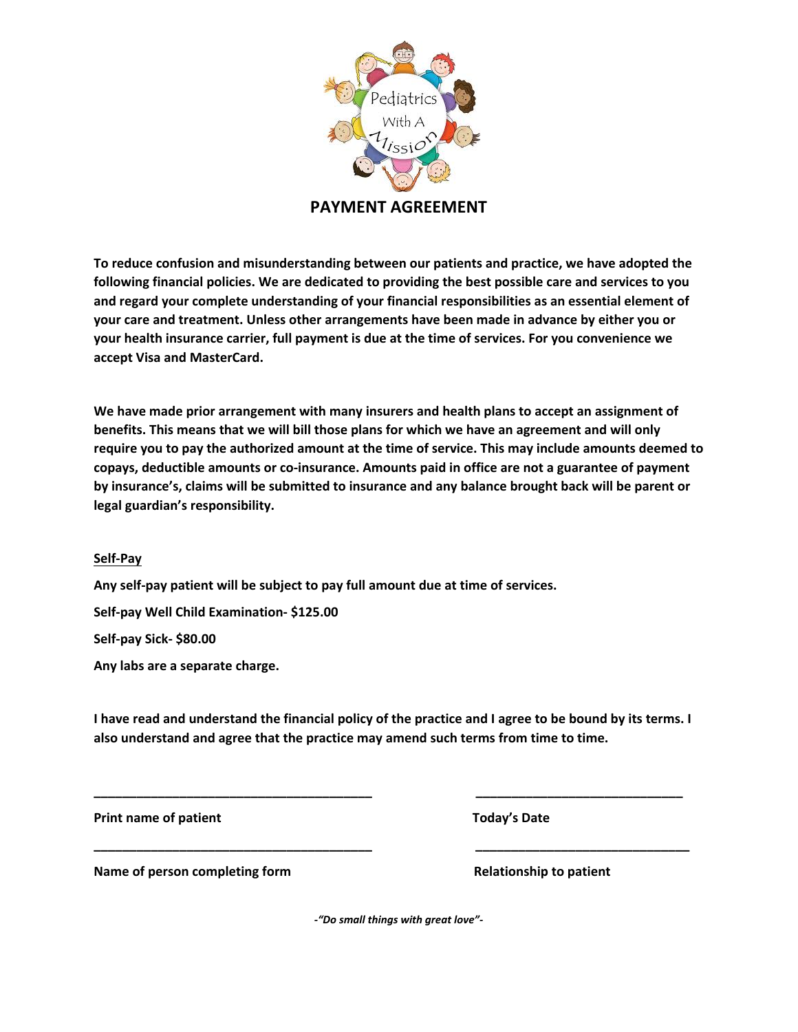

**PAYMENT AGREEMENT**

**To reduce confusion and misunderstanding between our patients and practice, we have adopted the following financial policies. We are dedicated to providing the best possible care and services to you and regard your complete understanding of your financial responsibilities as an essential element of your care and treatment. Unless other arrangements have been made in advance by either you or your health insurance carrier, full payment is due at the time of services. For you convenience we accept Visa and MasterCard.**

**We have made prior arrangement with many insurers and health plans to accept an assignment of benefits. This means that we will bill those plans for which we have an agreement and will only require you to pay the authorized amount at the time of service. This may include amounts deemed to copays, deductible amounts or co-insurance. Amounts paid in office are not a guarantee of payment by insurance's, claims will be submitted to insurance and any balance brought back will be parent or legal guardian's responsibility.** 

#### **Self-Pay**

**Any self-pay patient will be subject to pay full amount due at time of services.** 

**Self-pay Well Child Examination- \$125.00**

**Self-pay Sick- \$80.00**

**Any labs are a separate charge.** 

**I have read and understand the financial policy of the practice and I agree to be bound by its terms. I also understand and agree that the practice may amend such terms from time to time.**

**Print name of patient Contract Contract Contract Contract Contract Contract Contract Contract Contract Contract Contract Contract Contract Contract Contract Contract Contract Contract Contract Contract Contract Contract C** 

**\_\_\_\_\_\_\_\_\_\_\_\_\_\_\_\_\_\_\_\_\_\_\_\_\_\_\_\_\_\_\_\_\_\_\_\_\_\_\_ \_\_\_\_\_\_\_\_\_\_\_\_\_\_\_\_\_\_\_\_\_\_\_\_\_\_\_\_\_**

**\_\_\_\_\_\_\_\_\_\_\_\_\_\_\_\_\_\_\_\_\_\_\_\_\_\_\_\_\_\_\_\_\_\_\_\_\_\_\_ \_\_\_\_\_\_\_\_\_\_\_\_\_\_\_\_\_\_\_\_\_\_\_\_\_\_\_\_\_\_**

**Name of person completing form**  $\blacksquare$  **Relationship to patient**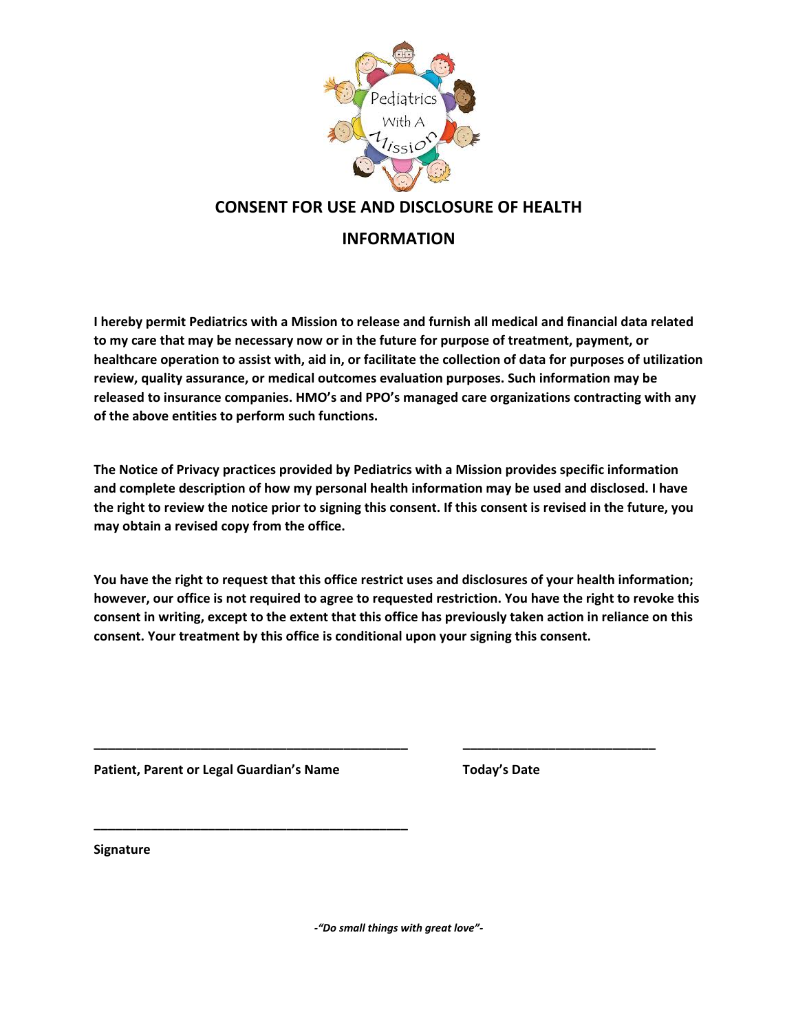

### **CONSENT FOR USE AND DISCLOSURE OF HEALTH**

#### **INFORMATION**

**I hereby permit Pediatrics with a Mission to release and furnish all medical and financial data related to my care that may be necessary now or in the future for purpose of treatment, payment, or healthcare operation to assist with, aid in, or facilitate the collection of data for purposes of utilization review, quality assurance, or medical outcomes evaluation purposes. Such information may be released to insurance companies. HMO's and PPO's managed care organizations contracting with any of the above entities to perform such functions.**

**The Notice of Privacy practices provided by Pediatrics with a Mission provides specific information and complete description of how my personal health information may be used and disclosed. I have the right to review the notice prior to signing this consent. If this consent is revised in the future, you may obtain a revised copy from the office.**

**You have the right to request that this office restrict uses and disclosures of your health information; however, our office is not required to agree to requested restriction. You have the right to revoke this consent in writing, except to the extent that this office has previously taken action in reliance on this consent. Your treatment by this office is conditional upon your signing this consent.**

Patient, Parent or Legal Guardian's Name Today's Date

**\_\_\_\_\_\_\_\_\_\_\_\_\_\_\_\_\_\_\_\_\_\_\_\_\_\_\_\_\_\_\_\_\_\_\_\_\_\_\_\_\_\_\_\_ \_\_\_\_\_\_\_\_\_\_\_\_\_\_\_\_\_\_\_\_\_\_\_\_\_\_\_**

**\_\_\_\_\_\_\_\_\_\_\_\_\_\_\_\_\_\_\_\_\_\_\_\_\_\_\_\_\_\_\_\_\_\_\_\_\_\_\_\_\_\_\_\_ Signature**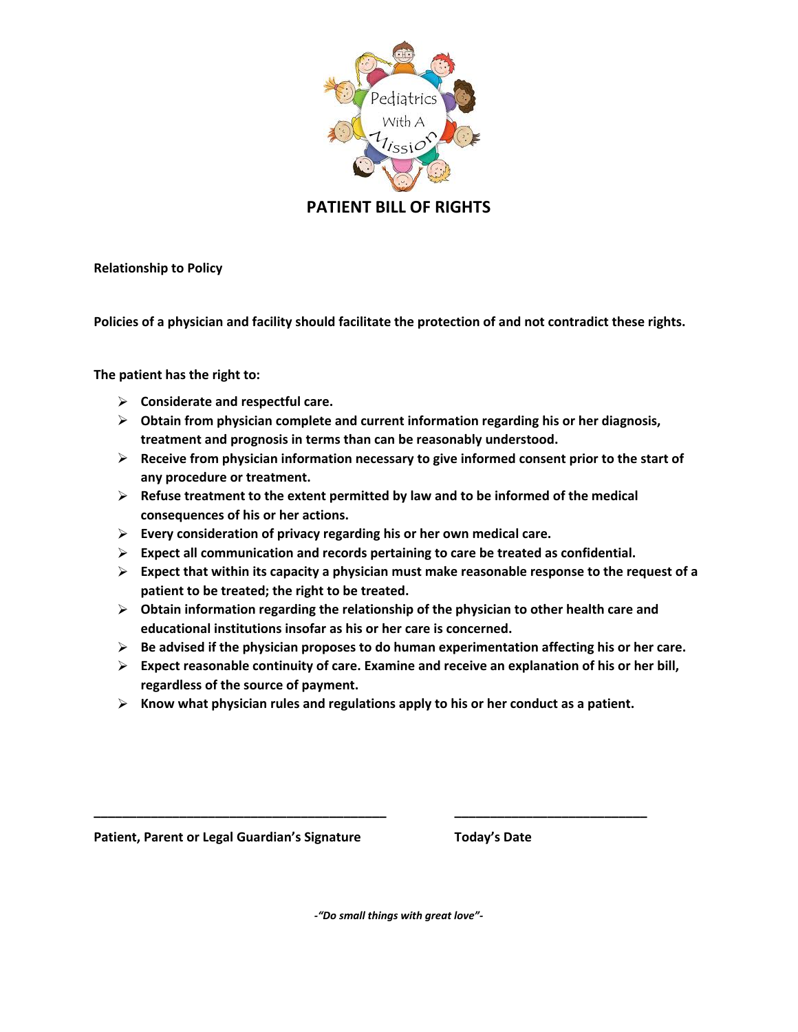

**PATIENT BILL OF RIGHTS**

**Relationship to Policy** 

**Policies of a physician and facility should facilitate the protection of and not contradict these rights.**

**The patient has the right to:**

- **Considerate and respectful care.**
- **Obtain from physician complete and current information regarding his or her diagnosis, treatment and prognosis in terms than can be reasonably understood.**
- **Receive from physician information necessary to give informed consent prior to the start of any procedure or treatment.**
- **Refuse treatment to the extent permitted by law and to be informed of the medical consequences of his or her actions.**
- **Every consideration of privacy regarding his or her own medical care.**
- **Expect all communication and records pertaining to care be treated as confidential.**
- **Expect that within its capacity a physician must make reasonable response to the request of a patient to be treated; the right to be treated.**
- **Obtain information regarding the relationship of the physician to other health care and educational institutions insofar as his or her care is concerned.**
- **Be advised if the physician proposes to do human experimentation affecting his or her care.**
- **Expect reasonable continuity of care. Examine and receive an explanation of his or her bill, regardless of the source of payment.**
- **Know what physician rules and regulations apply to his or her conduct as a patient.**

Patient, Parent or Legal Guardian's Signature Today's Date

*-"Do small things with great love"-*

**\_\_\_\_\_\_\_\_\_\_\_\_\_\_\_\_\_\_\_\_\_\_\_\_\_\_\_\_\_\_\_\_\_\_\_\_\_\_\_\_\_ \_\_\_\_\_\_\_\_\_\_\_\_\_\_\_\_\_\_\_\_\_\_\_\_\_\_\_**